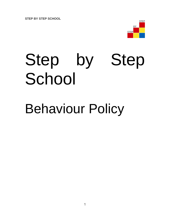**STEP BY STEP SCHOOL**



# Step by Step School

# Behaviour Policy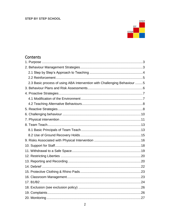#### **STEP BY STEP SCHOOL**



## Contents

| 2.3 Basic process of using ABA Intervention with Challenging Behaviour 5 |  |
|--------------------------------------------------------------------------|--|
|                                                                          |  |
|                                                                          |  |
|                                                                          |  |
|                                                                          |  |
|                                                                          |  |
|                                                                          |  |
|                                                                          |  |
|                                                                          |  |
|                                                                          |  |
|                                                                          |  |
|                                                                          |  |
|                                                                          |  |
|                                                                          |  |
|                                                                          |  |
|                                                                          |  |
|                                                                          |  |
|                                                                          |  |
|                                                                          |  |
|                                                                          |  |
|                                                                          |  |
|                                                                          |  |
|                                                                          |  |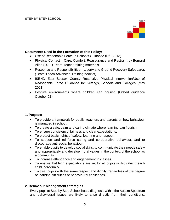

#### **Documents Used in the Formation of this Policy:**

- Use of Reasonable Force in Schools Guidance (DfE 2013)
- Physical Contact Care, Comfort, Reassurance and Restraint by Bernard Allen (2011) Team Teach training materials
- Response and Responsibilities Liberty and Ground Recovery Safeguards (Team Teach Advanced Training booklet)
- ISEND East Sussex County Restrictive Physical Intervention/Use of Reasonable Force Guidance for Settings, Schools and Colleges (May 2021)
- Positive environments where children can flourish (Ofsted guidance October 21)

#### <span id="page-2-0"></span>**1. Purpose**

- To provide a framework for pupils, teachers and parents on how behaviour is managed in school.
- To create a safe, calm and caring climate where learning can flourish.
- To ensure consistency, fairness and clear expectations.
- To protect basic rights of safety, learning and respect.
- To support and reinforce caring and co-operative behaviour, and to discourage anti-social behaviour.
- To enable pupils to develop social skills, to communicate their needs safely and appropriately and develop moral values in the context of the school as a community.
- To increase attendance and engagement in classes.
- To ensure that high expectations are set for all pupils whilst valuing each child individually.
- To treat pupils with the same respect and dignity, regardless of the degree of learning difficulties or behavioural challenges.

#### <span id="page-2-1"></span>**2. Behaviour Management Strategies**

Every pupil at Step by Step School has a diagnosis within the Autism Spectrum and behavioural issues are likely to arise directly from their conditions.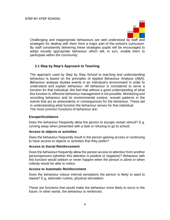

Challenging and inappropriate behaviours are well understood by staff and strategies for dealing with them form a major part of the school's curriculum. By staff consistently delivering these strategies pupils will be encouraged to adopt socially appropriate behaviour which will, in turn, enable them to participate within the community.

#### <span id="page-3-0"></span>**2.1 Step by Step's Approach to Teaching**

The approach used by Step by Step School to teaching and understanding behaviour is based on the principles of Applied Behaviour Analysis (ABA). Behaviour analysis studies events in an individual's environment in order to understand and explain behaviour. All behaviour is considered to serve a function for that individual. We feel that without a good understanding of what this function is, effective behaviour management is not possible. Monitoring and recording behaviour and its environmental context, reveals patterns in the events that act as antecedents or consequences for the behaviour. These aid in understanding what function the behaviour serves for that individual. The most common functions of behaviour are:

#### **Escape/Avoidance**

Does the behaviour frequently allow the person to escape certain stimuli? E.g. running away when presented with a task or refusing to go to school.

#### **Access to objects or activities**

Does the behaviour frequently result in the person gaining access or continuing to have access to objects or activities that they prefer?

#### **Access to Social Reinforcement**

Does the behaviour frequently allow the person access to attention from another person/persons (whether this attention is positive or negative)? Behaviour with this function would seldom or never happen when the person is alone or when nobody would be able to notice.

#### **Access to Automatic Reinforcement**

Does the behaviour induce internal sensations the person is likely to want to repeat? E.g. adrenalin rushes, physical stimulation.

These are functions that would make the behaviour more likely to occur in the future. In other words, the behaviour is reinforced.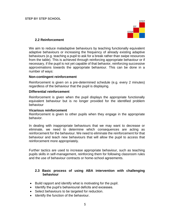

#### **2.2 Reinforcement**

<span id="page-4-0"></span>We aim to reduce maladaptive behaviours by teaching functionally equivalent adaptive behaviours or increasing the frequency of already existing adaptive behaviours (e.g. teaching a pupil to ask for a break rather than swipe resources from the table). This is achieved through reinforcing appropriate behaviour or if necessary, if the pupil is not yet capable of that behavior, reinforcing successive approximations towards the appropriate behaviour. This can be done in a number of ways:

#### **Non-contingent reinforcement**

Reinforcement is given on a pre-determined schedule (e.g. every 2 minutes) regardless of the behaviour that the pupil is displaying.

#### **Differential reinforcement**

Reinforcement is given when the pupil displays the appropriate functionally equivalent behaviour but is no longer provided for the identified problem behaviour

#### **Vicarious reinforcement**

Reinforcement is given to other pupils when they engage in the appropriate behavior.

In dealing with inappropriate behaviours that we may want to decrease or eliminate, we need to determine which consequences are acting as reinforcement for the behaviour. We need to eliminate the reinforcement for that behaviour and teach new behaviours that will allow the pupil to access that reinforcement more appropriately.

Further tactics are used to increase appropriate behaviour, such as teaching pupils skills in self-management, reinforcing them for following classroom rules and the use of behaviour contracts or home-school agreements.

#### <span id="page-4-1"></span>**2.3 Basic process of using ABA intervention with challenging behaviour**

- Build rapport and identify what is motivating for the pupil.
- Identify the pupil's behavioural deficits and excesses.
- Select behaviours to be targeted for reduction.
- Identify the function of the behaviour.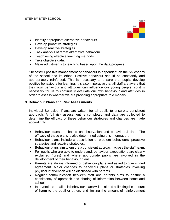

- Identify appropriate alternative behaviours.
- Develop proactive strategies.
- Develop reactive strategies.
- Task analysis of target alternative behaviour.
- Teach using effective teaching methods.
- Take objective data.
- Make adjustments to teaching based upon the data/progress.

Successful positive management of behaviour is dependent on the philosophy of the school and its ethos. Positive behaviour should be constantly and appropriately reinforced. This is necessary to ensure that pupils develop positive behaviours for learning. It is also imperative that all staff are aware that their own behaviour and attitudes can influence our young people, so it is necessary for us to continually evaluate our own behaviour and attitudes in order to assess whether we are providing appropriate role models.

#### <span id="page-5-0"></span>**3. Behaviour Plans and Risk Assessments**

Individual Behaviour Plans are written for all pupils to ensure a consistent approach. A full risk assessment is completed and data are collected to determine the efficacy of these behaviour strategies and changes are made accordingly.

- Behaviour plans are based on observation and behavioural data. The efficacy of these plans is also determined using this information.
- Behaviour plans include a description of problem behaviours, proactive strategies and reactive strategies.
- Behaviour plans aim to ensure a consistent approach across the staff team.
- For pupils who are able to understand, behaviour expectations are clearly explained (rules) and where appropriate pupils are involved in the development of their behaviour plans.
- Parents are always informed of behaviour plans and asked to give signed agreement. Major changes to behaviour plans or strategies involving physical intervention will be discussed with parents.
- Regular communication between staff and parents aims to ensure a consistency of approach and sharing of information between home and school.
- Interventions detailed in behaviour plans will be aimed at limiting the amount of harm to the pupil or others and limiting the amount of reinforcement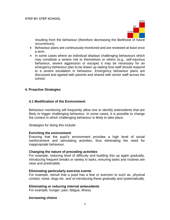

resulting from the behaviour (therefore decreasing the likelihood of future occurrences).

- Behaviour plans are continuously monitored and are reviewed at least once a term.
- In some cases where an individual displays challenging behaviours which may constitute a severe risk to themselves or others (e.g., self-injurious behaviour, severe aggression or escape) it may be necessary for an emergency behaviour plan to be drawn up stating how staff should respond to a severe escalation in behaviour. Emergency behaviour plans are discussed and agreed with parents and shared with senior staff across the school.

#### <span id="page-6-0"></span>**4. Proactive Strategies**

#### <span id="page-6-1"></span>**4.1 Modification of the Environment**

Behaviour monitoring will frequently allow one to identify antecedents that are likely to trigger challenging behaviour. In some cases, it is possible to change the context in which challenging behaviour is likely to take place.

Strategies for doing this include:

#### **Enriching the environment**

Ensuring that the pupil's environment provides a high level of social reinforcement and stimulating activities, thus eliminating the need for inappropriate behaviour.

#### **Changing the nature of preceding activities**

For example, reducing level of difficulty and building this up again gradually, introducing frequent breaks or variety in tasks, ensuring tasks and routines are clear and predictable.

#### **Eliminating particularly aversive events**

For example, stimuli that a pupil has a fear or aversion to such as, physical contact, noise, dogs etc. and re-introducing these gradually and systematically.

#### **Eliminating or reducing internal antecedents**

For example, hunger, pain, fatigue, illness.

#### **Increasing choice**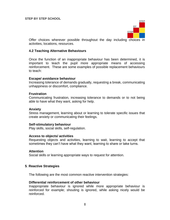

Offer choices wherever possible throughout the day including choices in activities, locations, resources.

#### <span id="page-7-0"></span>**4.2 Teaching Alternative Behaviours**

Once the function of an inappropriate behaviour has been determined, it is important to teach the pupil more appropriate means of accessing reinforcement. These are some examples of possible replacement behaviours to teach:

#### **Escape/ avoidance behaviour**

Increasing tolerance of demands gradually, requesting a break, communicating unhappiness or discomfort, compliance.

#### **Frustration**

Communicating frustration, increasing tolerance to demands or to not being able to have what they want, asking for help.

#### **Anxiety**

Stress management, learning about or learning to tolerate specific issues that create anxiety or communicating their feelings.

#### **Self-stimulatory behaviour**

Play skills, social skills, self-regulation.

#### **Access to objects/ activities**

Requesting objects and activities, learning to wait, learning to accept that sometimes they can't have what they want, learning to share or take turns.

#### **Attention**

Social skills or learning appropriate ways to request for attention.

#### <span id="page-7-1"></span>**5**. **Reactive Strategies**

The following are the most common reactive intervention strategies:

#### **Differential reinforcement of other behaviour**

Inappropriate behaviour is ignored while more appropriate behaviour is reinforced for example; shouting is ignored, while asking nicely would be reinforced.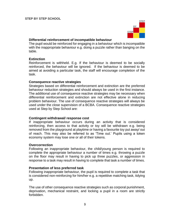

#### **Differential reinforcement of incompatible behaviour**

The pupil would be reinforced for engaging in a behaviour which is incompatible with the inappropriate behaviour e.g. doing a puzzle rather than banging on the table.

#### **Extinction**

Reinforcement is withheld. E.g. If the behaviour is deemed to be socially reinforced, the behaviour will be ignored. If the behaviour is deemed to be aimed at avoiding a particular task, the staff will encourage completion of the task.

#### **Consequence reactive strategies**

Strategies based on differential reinforcement and extinction are the preferred behaviour reduction strategies and should always be used in the first instance. The additional use of consequence reactive strategies may be necessary when differential reinforcement and extinction are not effective alone in reducing problem behaviour. The use of consequence reactive strategies will always be used under the close supervision of a BCBA. Consequence reactive strategies used at Step by Step School are:

#### **Contingent withdrawal/ response cost**

If inappropriate behaviour occurs during an activity that is considered reinforcing, then access to that activity or toy will be withdrawn e.g. being removed from the playground at playtime or having a favourite toy put away/ out of reach. This may also be referred to as 'Time out.' Pupils using a token economy system may lose one or all of their tokens.

#### **Overcorrection**

Following an inappropriate behaviour, the child/young person is required to complete the appropriate behaviour a number of times e.g. throwing a puzzle on the floor may result in having to pick up three puzzles, or aggression in response to a task may result in having to complete that task a number of times.

#### **Presentation of less preferred task**

Following inappropriate behaviour, the pupil is required to complete a task that is considered non-reinforcing for him/her e.g. a repetitive matching task, tidying up.

The use of other consequence reactive strategies such as corporal punishment, deprivation, mechanical restraint, and locking a pupil in a room are strictly forbidden.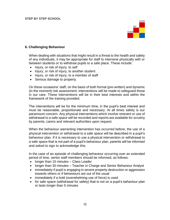

#### <span id="page-9-0"></span>**6. Challenging Behaviour**

When dealing with situations that might result in a threat to the health and safety of any individuals, it may be appropriate for staff to intervene physically with or between students or to withdraw pupils to a safe place. These include:

- Injury, or risk of injury, to self
- Injury, or risk of injury, to another student
- Injury, or risk of injury, to a member of staff
- Serious damage to property

On these occasions' staff, on the basis of both formal (pre-written) and dynamic (in the moment) risk assessment, interventions will be made to safeguard those in our care. These interventions will be in their best interests and within the framework of the training provided.

The interventions will be for the minimum time, in the pupil's best interest and must be reasonable, proportionate and necessary. At all times safety is our paramount concern. Any physical interventions which involve restraint or use of withdrawal to a safe space will be recorded and reports are available for scrutiny by parents, carers and relevant authorities upon request.

When the behaviour warranting intervention has occurred before, the use of a physical intervention or withdrawal to a safe space will be described in a pupil's behaviour plan. If it is necessary to use a physical intervention or withdrawal to a safe space that is not part of a pupil's behaviour plan, parents will be informed and asked to sign to acknowledge this.

In the case of an episode of challenging behaviour occurring over an extended period of time, senior staff members should be informed, as follows:

- longer than 15 minutes Class Leader
- Ionger than 30 minutes Teacher in Charge and Senior Behaviour Analyst
- immediately if pupil is engaging in severe property destruction or aggression towards others or if behaviours are out of the usual
- immediately if a hold (overwhelming use of force) is used
- for safe space (withdrawal for safety) that is not on a pupil's behaviour plan or lasts longer than 5 minutes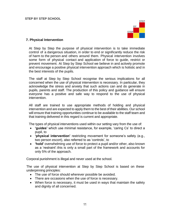

#### <span id="page-10-0"></span>**7. Physical Intervention**

At Step by Step the purpose of physical intervention is to take immediate control of a dangerous situation, in order to end or significantly reduce the risk of harm to the person and others around them. Physical intervention involves some form of physical contact and application of force to guide, restrict or prevent movement. At Step by Step School we believe in and actively promote and encourage a positive physical intervention approach which is holistic and in the best interests of the pupils.

The staff at Step by Step School recognise the serious implications for all concerned when the use of physical intervention is necessary. In particular, they acknowledge the stress and anxiety that such actions can and do generate in pupils, parents and staff. The production of this policy and guidance will ensure everyone has a positive and safe way to respond to the use of physical intervention.

All staff are trained to use appropriate methods of holding and physical intervention and are expected to apply them to the best of their abilities. Our school will ensure that training opportunities continue to be available to the staff team and that training delivered in this regard is current and appropriate.

The types of physical interventions used within our setting vary from the use of:

- **'guides'** which use minimal resistance, for example, 'caring Cs' to direct a pupil, to
- **'physical intervention'** restricting movement for someone's safety (e.g., two person escort), also referred to as 'controls', to
- **'hold'** overwhelming use of force to protect a pupil and/or other, also known as a 'restraint'-this is only a small part of the framework and accounts for only 5% of the approach.

Corporal punishment is illegal and never used at the school.

The use of physical intervention at Step by Step School is based on these underpinning principles:

- The use of force should wherever possible be avoided.
- There are occasions when the use of force is necessary.
- When force is necessary, it must be used in ways that maintain the safety and dignity of all concerned.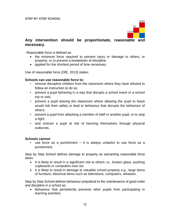

### **Any intervention should be proportionate, reasonable and necessary.**

Reasonable force is defined as:

- the minimum force required to prevent injury or damage to others, or property, or to prevent a breakdown of discipline
- applied for the shortest period of time necessary

Use of reasonable force (DfE, 2013) states:

#### **Schools can use reasonable force to:**

- remove disruptive children from the classroom where they have refused to follow an instruction to do so;
- prevent a pupil behaving in a way that disrupts a school event or a school trip or visit;
- prevent a pupil leaving the classroom where allowing the pupil to leave would risk their safety or lead to behaviour that disrupts the behaviour of others;
- prevent a pupil from attacking a member of staff or another pupil, or to stop a fight;
- and restrain a pupil at risk of harming themselves through physical outbursts.

#### **Schools cannot:**

• use force as a punishment – it is always unlawful to use force as a punishment.

Step by Step School defines damage to property as warranting reasonable force when:

- It is likely to result in a significant risk to others i.e., broken glass, pushing cupboards or computers over etc.
- It is likely to result in damage to valuable school property e.g., large items of furniture, electrical items such as televisions, computers, windows.

Step by Step School defines behaviour prejudicial to the maintenance of good order and discipline in a school as:

 Behaviour that persistently prevents other pupils from participating in learning activities.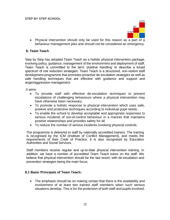

 Physical intervention should only be used for this reason as a part of a behaviour management plan and should not be considered an emergency.

#### <span id="page-12-0"></span>**8. Team Teach**

Step by Step has adopted Team Teach as a holistic physical intervention package, involving policy, guidance, management of the environment and deployment of staff. Team Teach is committed to the term 'positive handling' to describe a broad spectrum of risk reduction strategies. Team Teach is a structured, non-violent staff development programme that promotes proactive de-escalation strategies as well as safe handling techniques that are effective with guidance and support and anger/aggression management.

It aims:

- To provide staff with effective de-escalation techniques to prevent escalations of challenging behaviours where a physical intervention may have otherwise been necessary.
- To promote a holistic response to physical intervention which uses safe, positive and protective techniques according to individual pupil needs.
- To enable the school to develop acceptable and appropriate responses to serious incidents of out-of-control behaviour in a manner that maintains positive relationships and provides safety for all.
- To reduce the number of serious incidents involving physical controls.

The programme is delivered to staff by nationally accredited trainers. The training is recognised by the ICM (Institute of Conflict Management), and meets the requirements of their Code of Practice. It is also recognised by Education Authorities and Social Services.

Staff members receive regular and up-to-date physical intervention training. In addition, we have a number of accredited Team Teach tutors on the staff. We believe that physical intervention should be the last resort, with de-escalation and prevention strategies being the main focus.

#### <span id="page-12-1"></span>**8.1 Basic Principals of Team Teach:**

 The emphasis should be on making certain that there is the availability and involvement of at least two trained staff members when such serious situations develop. This is for the protection of both staff and pupils involved.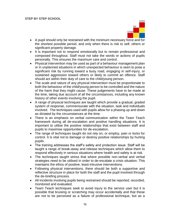

- A pupil should only be restrained with the minimum necessary force and for the shortest possible period, and only when there is risk to self, others or significant property damage.
- It is important not to respond emotionally but to remain professional and composed throughout. Staff must not take the words or actions of pupils personally. This ensures the maximum care and control.
- Physical intervention may be used as part of a behaviour management plan or in unplanned situations in which unexpected behaviour is seen to pose a significant risk by running toward a busy road, engaging in self-injury, or sustained aggression toward others or likely to commit an offence. Staff should act within their duty of care to the child/young person.
- The scale and nature of any physical intervention must be proportionate to both the behaviour of the child/young person to be controlled and the nature of the harm that they might cause. These judgements have to be made at the time, taking due account of all the circumstances, including any known history of other events involving the pupil.
- A range of physical techniques are taught which provide a gradual, graded system of response, commensurate with the situation, task and individuals involved. The techniques used with pupils allow for a phasing up and down as dictated by the circumstances at the time.
- There is an emphasis on verbal communication within the Team Teach framework during all de-escalation and positive handling situations. It is important to utilise the positive relationships that exist between staff and pupils to maximise opportunities for de-escalation.
- The range of techniques taught do not rely on, or employ, pain or locks for control. It is vital not to damage or destroy positive relationships by hurting pupils.
- The training addresses the staff's safety and protection issue. Staff will be taught a range of break-away and release techniques which allow them to respond effectively in serious situations where health and safety is at risk.
- The techniques taught stress that where possible non-verbal and verbal strategies need to be utilised in order to de-escalate a crisis situation. This maintains the ethos of positive, least-intrusive interventions.
- Following physical interventions, there should be both a supportive and reflective structure in place for both the staff and the pupil involved through the de-briefing process.
- All incidents involving pupils being restrained should be reported, recorded, monitored and evaluated.
- Team Teach techniques seek to avoid injury to the service user but it is possible that bruising or scratching may occur accidentally and that these are not to be perceived as a failure of professional technique, but as a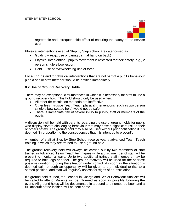

regrettable and infrequent side-effect of ensuring the safety of the service user.

Physical interventions used at Step by Step school are categorised as:

- Guiding (e.g., use of caring c's, flat hand on back)
- Physical intervention pupil's movement is restricted for their safety (e.g., 2 person single elbow escort)
- Hold use of overwhelming use of force

For **all holds** and for physical interventions that are not part of a pupil's behaviour plan a senior staff member should be notified immediately.

#### <span id="page-14-0"></span>**8.2 Use of Ground Recovery Holds**

There may be exceptional circumstances in which it is necessary for staff to use a ground recovery hold. This hold should only be used when:

- All other de-escalation methods are ineffective
- Other less intrusive Team Teach physical interventions (such as two person single elbow seated hold) would not be safe
- There is immediate risk of severe injury to pupils, staff or members of the public.

A discussion will be held with parents regarding the use of ground holds for pupils who display severe challenging behaviour that may pose a significant risk to their or others safety. The ground hold may also be used without prior notification if it is deemed "in proportion to the consequences that it is intended to prevent".

A number of staff at Step by Step School receive yearly advanced Team Teach training in which they are trained to use a ground hold.

The ground recovery hold will always be carried out by two members of staff trained in Advanced Team Teach techniques while a third member of staff will be present to monitor airways. Up to two additional trained staff members may be required to hold legs and feet. The ground recovery will be used for the shortest possible duration to bring the situation under control. As soon as the situation is deemed calm enough an opportunity will be given to the individual to rise to a seated position, and staff will regularly assess for signs of de-escalation.

If a ground hold is used, the Teacher in Charge and Senior Behaviour Analysts will be called to attend. Parents will be informed as soon as possible following the event. All ground holds will be documented in a bound and numbered book and a full account of the incident will be sent home.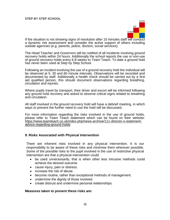

If the situation is not showing signs of resolution after 15 minutes staff will conduct a dynamic risk assessment and consider the active support of others including outside agencies (e.g. parents, police, doctors, social services).

The Head Teacher and Governors will be notified of all incidents involving ground recovery holds within 24 hours. Additionally the school reports the use or non-use of ground recovery holds every 6-8 weeks to Team Teach. To date a ground hold has never been used at Step by Step School.

Following an incident involving the use of a ground recovery hold the individual will be observed at 5, 30 and 60 minute intervals. Observations will be recorded and documented by staff. Additionally a health check should be carried out by a first aid qualified person, this should document observations regarding breathing, circulation and injuries.

Where pupils travel by transport, their driver and escort will be informed following any ground hold recovery and asked to observe critical signs related to breathing and circulation.

All staff involved in the ground recovery hold will have a debrief meeting, in which ways to prevent the further need to use the hold will be discussed.

For more information regarding the risks involved in the use of ground holds, please refer to Team Teach statement which can be found on their website: [https://www.teamteach.co.uk/index.php/news-archive/111-director-s-statement](https://www.teamteach.co.uk/index.php/news-archive/111-director-s-statement-advice-regarding-ground-holds)[advice-regarding-ground-holds](https://www.teamteach.co.uk/index.php/news-archive/111-director-s-statement-advice-regarding-ground-holds)

#### <span id="page-15-0"></span>**9. Risks Associated with Physical Intervention**

There are inherent risks involved in any physical intervention. It is our responsibility to be aware of these risks and minimise them wherever possible. Some of the possible risks to the pupil involved in the use of restrictive physical intervention are that a physical intervention could:

- be used unnecessarily, that is when other less intrusive methods could achieve the desired outcome.
- cause injury, pain or distress.
- increase the risk of abuse.
- become routine, rather than exceptional methods of management.
- undermine the dignity of those involved.
- create distrust and undermine personal relationships.

#### **Measures taken to prevent these risks are:**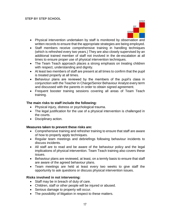

- Physical intervention undertaken by staff is monitored by observation and written records to ensure that the appropriate strategies are being employed.
- Staff members receive comprehensive training in handling techniques (which is refreshed every two years.) They are also closely supervised by an additional trained member of staff not involved in the de-escalation at all times to ensure proper use of physical intervention techniques.
- The Team Teach approach places a strong emphasis on treating children with respect, understanding and dignity.
- At least two members of staff are present at all times to confirm that the pupil is treated properly at all times.
- Behaviour plans are reviewed by the members of the pupil's class in conjunction with the Teacher in Charge/Senior Behaviour Analyst every term and discussed with the parents in order to obtain signed agreement.
- Frequent booster training sessions covering all areas of Team Teach training.

#### **The main risks to staff include the following:**

- Physical injury, distress or psychological trauma.
- The legal justification for the use of a physical intervention is challenged in the courts.
- Disciplinary action.

#### **Measures taken to prevent these risks are:**

- Comprehensive training and refresher training to ensure that staff are aware of how to properly apply techniques.
- Regular team meetings and debriefings following behaviour incidents to discuss incidents.
- All staff are to read and be aware of the behaviour policy and the legal implications of physical intervention. Team Teach training also covers these issues.
- Behaviour plans are reviewed, at least, on a termly basis to ensure that staff are aware of the agreed behaviour plans.
- Team meetings are held at least every two weeks to give staff the opportunity to ask questions or discuss physical intervention issues.

#### **Risks involved in not intervening:**

- Staff may be in breach of duty of care.
- Children, staff or other people will be injured or abused.
- Serious damage to property will occur.
- The possibility of litigation in respect to these matters.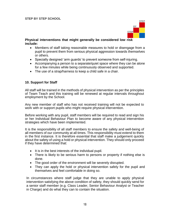

**Physical interventions that might generally be considered low risk include:**

- Members of staff taking reasonable measures to hold or disengage from a pupil to prevent them from serious physical aggression towards themselves or others.
- Specially designed 'arm guards' to prevent someone from self-injuring.
- Accompanying a person to a separate/quiet space where they can be alone for a few minutes while being continuously observed and supported.
- The use of a strap/harness to keep a child safe in a chair.

#### <span id="page-17-0"></span>**10. Support for Staff**

All staff will be trained in the methods of physical intervention as per the principles of Team Teach and this training will be renewed at regular intervals throughout employment by the School.

Any new member of staff who has not received training will not be expected to work with or support pupils who might require physical intervention.

Before working with any pupil, staff members will be required to read and sign his or her Individual Behaviour Plan to become aware of any physical intervention strategies which have been implemented.

It is the responsibility of all staff members to ensure the safety and well-being of all members of our community at all times. This responsibility must extend to them in the first instance. It is therefore essential that staff make a judgement quickly about the safety of using a hold or physical intervention. They should only proceed if they have determined that:

- It is in the best interests of the individual pupil.
- There is likely to be serious harm to persons or property if nothing else is done.
- The good order of the environment will be severely disrupted.
- They can apply the hold or physical intervention safely for the pupil and themselves and feel comfortable in doing so.

In circumstances where staff judge that they are unable to apply physical intervention satisfying the above condition of safety, they should quickly send for a senior staff member (e.g. Class Leader, Senior Behaviour Analyst or Teacher in Charge) and do what they can to contain the situation.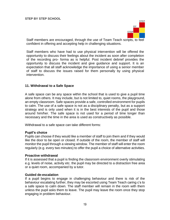

Staff members are encouraged, through the use of Team Teach scripts, to feel confident in offering and accepting help in challenging situations.

Staff members who have had to use physical intervention will be offered the opportunity to discuss their feelings about the incident as soon after completion of the recording pro- forma as is helpful. Post incident debrief provides the opportunity to discuss the incident and give guidance and support. It is an expectation that all staff acknowledge the importance of using a senior member of staff to discuss the issues raised for them personally by using physical intervention.

#### <span id="page-18-0"></span>**11. Withdrawal to a Safe Space**

A safe space can be any space within the school that is used to give a pupil time alone from others. It may include, but is not limited to, quiet rooms, the playground, an empty classroom. Safe spaces provide a safe, controlled environment for pupils to calm. The use of a safe space is not as a disciplinary penalty, but as a support strategy and is only used when it is in the best interests of the pupil and those around him/her. The safe space is not used for a period of time longer than necessary and the time in the area is used as constructively as possible.

Withdrawal to a safe space can take different forms:

#### **Pupil's choice**

Pupils can choose if they would like a member of staff to join them and if they would like the door to be open or closed. If outside of the room, the member of staff will monitor the pupil through a viewing window. The member of staff will enter the room regularly (e.g. every two minutes) to offer the pupil a choice of alternative activities.

#### **Proactive withdrawal**

If it is assessed that a pupil is finding the classroom environment overly stimulating e.g. levels of noise, activity etc. the pupil may be directed to a distraction free area or a quiet room, accompanied by a tutor.

#### **Guided de-escalation**

If a pupil begins to engage in challenging behaviour and there is risk of the behaviour escalating further, they may be escorted using Team Teach caring c's to a safe space to calm down. The staff member will remain in the room with them unless the pupil asks them to leave. The pupil may leave the room once they stop engaging in problem behaviour.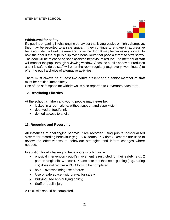

#### **Withdrawal for safety**

If a pupil is engaging in challenging behaviour that is aggressive or highly disruptive, they may be escorted to a safe space. If they continue to engage in aggressive behaviour staff will exit the area and close the door. It may be necessary for staff to hold the door if the pupil is displaying behaviours that pose a threat to staff safety. The door will be released as soon as these behaviours reduce. The member of staff will monitor the pupil through a viewing window. Once the pupil's behaviour reduces and it is safe to do so staff will enter the room regularly (e.g. every two minutes) to offer the pupil a choice of alternative activities.

There must always be at least two adults present and a senior member of staff must be notified immediately.

<span id="page-19-0"></span>Use of the safe space for withdrawal is also reported to Governors each term.

#### **12. Restricting Liberties**

At the school, children and young people may **never** be:

- locked in a room alone, without support and supervision.
- deprived of food/drink.
- denied access to a toilet.

#### <span id="page-19-1"></span>**13. Reporting and Recording**

All instances of challenging behaviour are recorded using pupil's individualised system for recording behaviour (e.g., ABC forms, PID data). Records are used to review the effectiveness of behaviour strategies and inform changes where needed.

In addition for all challenging behaviours which involve:

- physical intervention pupil's movement is restricted for their safety (e.g., 2 person single elbow escort). Please note that the use of guiding (e.g., caring c's) does not require a POD form to be completed.
- hold overwhelming use of force
- Use of safe space withdrawal for safety
- Bullying (see anti-bullying policy)
- Staff or pupil injury

A POD slip should be completed.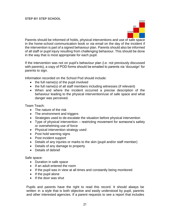

Parents should be informed of holds, physical interventions and use of safe space in the home-school communication book or via email on the day of the incident if the intervention is part of a signed behaviour plan. Parents should also be informed of all staff or pupil injury resulting from challenging behaviour. This should be done in the way that is most appropriate for each pupil.

If the intervention was not on pupil's behaviour plan (i.e. not previously discussed with parents), a copy of POD forms should be emailed to parents via 'docusign' for parents to sign.

Information recorded on the School Pod should include:

- $\bullet$  the full name(s) of the pupil involved
- $\bullet$  the full name(s) of all staff members including witnesses (if relevant)
- When and where the incident occurred a precise description of the behaviour leading to the physical intervention/use of safe space and what danger was perceived.

Team Teach:

- The nature of the risk
- The environment and triggers
- Strategies used to de-escalate the situation before physical intervention
- Type of physical intervention restricting movement for someone's safety or overwhelming use of force
- Physical intervention strategy used
- Post hold warning signs
- Post incident support
- Details of any injuries or marks to the skin (pupil and/or staff member)
- Details of any damage to property
- Details of debrief

#### Safe space:

- Duration in safe space
- If an adult entered the room
- If the pupil was in view at all times and constantly being monitored
- $\bullet$  If the pupil alone
- If the door was shut

Pupils and parents have the right to read this record. It should always be written in a style that is both objective and easily understood by pupil, parents and other interested agencies. If a parent requests to see a report that includes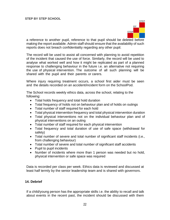

a reference to another pupil, reference to that pupil should be deleted before making the report available. Admin staff should ensure that the availability of such reports does not breach confidentiality regarding any other pupil.

The record will be used to assist all concerned with planning to avoid repetition of the incident that caused the use of force. Similarly, the record will be used to analyse what worked well and how it might be replicated as part of a planned response to challenging behaviour in the future i.e. an alternative not requiring the use of physical intervention. The outcome of all such planning will be shared with the pupil and their parents or carers.

Where injury requiring treatment occurs, a school first aider must be seen and the details recorded on an accident/incident form on the SchoolPod.

The School records weekly ethics data, across the school, relating to the following:

- Total holds frequency and total hold duration
- Total frequency of holds not on behaviour plan and of holds on outings
- Total number of staff required for each hold
- Total physical intervention frequency and total physical intervention duration
- Total physical interventions not on the individual behaviour plan and of physical interventions on an outing
- Total number of staff required for each physical intervention
- Total frequency and total duration of use of safe space (withdrawal for safety)
- Total number of severe and total number of significant staff incidents (i.e., from challenging behaviour)
- Total number of severe and total number of significant staff accidents
- Pupil to pupil incidents
- Number of incidents where more than 1 person was needed but no hold, physical intervention or safe space was required

Data is recorded per class per week. Ethics data is reviewed and discussed at least half termly by the senior leadership team and is shared with governors.

#### <span id="page-21-0"></span>**14. Debrief**

If a child/young person has the appropriate skills i.e. the ability to recall and talk about events in the recent past, the incident should be discussed with them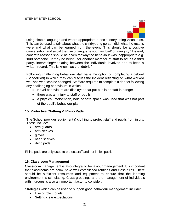

using simple language and where appropriate a social story using visual aids. This can be used to talk about what the child/young person did, what the results were and what can be learned from the event. This should be a positive conversation and avoid the use of language such as 'bad' or 'naughty.' Instead, concrete reasons should be given for why the behaviour was inappropriate e.g. 'hurt someone.' It may be helpful for another member of staff to act as a third party, intervening/mediating between the individuals involved and to keep a written record. This is known as the 'debrief'.

Following challenging behaviour staff have the option of completing a debrief (SchoolPod) in which they can discuss the incident reflecting on what worked well and what can be changed. Staff are required to complete a debrief following any challenging behaviours in which:

- Novel behaviours are displayed that put pupils or staff in danger
- there was an injury to staff or pupils
- a physical intervention, hold or safe space was used that was not part of the pupil's behaviour plan

#### <span id="page-22-0"></span>**15. Protective Clothing & Rhino Pads**

The School provides equipment & clothing to protect staff and pupils from injury. These include:

- arm guards
- arm sleeves
- gloves
- head scarves
- rhino pads

Rhino pads are only used to protect staff and not inhibit pupils

#### <span id="page-22-1"></span>**16. Classroom Management**

Classroom management is also integral to behaviour management. It is important that classrooms are calm, have well established routines and class rules. There should be sufficient resources and equipment to ensure that the learning environment is stimulating. Class groupings and the management of individuals within groups is also an important factor to consider.

Strategies which can be used to support good behaviour management include:

- Use of role models.
- Setting clear expectations.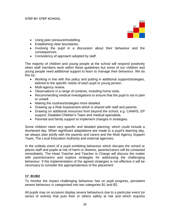

- Using peer pressure/modelling.
- Establishing clear boundaries.
- Involving the pupil in a discussion about their behaviour and the consequences.
- Consistency of approach adopted by staff.

The majority of children and young people at the school will respond positively when staff members work within these guidelines but some of our children and young people need additional support to learn to manage their behaviour. We do this by:

- Working in line with this policy and putting in additional support/strategies, tailored to the specific needs of each pupil or young person.
- Multi-agency review.
- Observations in a range of contexts, including home visits.
- Recommending medical investigations to ensure that the pupil is not in pain or unwell.
- Making the routines/strategies more detailed.
- Drawing up a Risk Assessment which is shared with staff and parents.
- Drawing on additional resources from beyond the school, e.g. CAMHS, EP support, Disabled Children's Team and medical specialists.
- Parental and family support to implement changes in strategies.

Some children need very specific and detailed planning, which could include a shortened day. When significant adaptations are made to a pupil's learning day, we always plan jointly with the parents and carers and the Multi Agency Support Team, The Local Education Authority and external agencies.

In the unlikely event of a pupil exhibiting behaviour which disrupts the school or places staff and pupils at risk of harm or distress, parents/carers will be contacted immediately. The Head Teacher and Teacher in Charge will discuss the matter with parents/carers and explore strategies for addressing the challenging behaviour. If the implementation of the agreed strategies is not effective it will be necessary to consider the appropriateness of the placement

#### <span id="page-23-0"></span>**17. B1/B2**

To monitor the impact challenging behaviour has on pupil progress, persistent severe behaviour is categorised into two categories B1 and B2.

All pupils may on occasion display severe behaviours due to a particular event (or series of events) that puts their or others safety at risk and which requires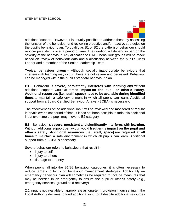

additional support. However, it is usually possible to address these by assessing the function of the behaviour and reviewing proactive and/or reactive strategies on the pupil's behaviour plan. To qualify as B1 or B2 the pattern of behaviour should reoccur persistently over a period of time. The duration will depend in part on the severity of the behaviour. Any allocation to B1/B2 behaviour groups will be made based on review of behaviour data and a discussion between the pupil's Class Leader and a member of the Senior Leadership Team.

**Typical behaviour group** – Although socially inappropriate behaviours that interfere with learning may occur, these are not severe and persistent. Behaviour can be managed within the pupil's standard behaviour plan.

**B1** – Behaviour is **severe**, **persistently interferes with learning** and without additional support would **at times impact on the pupil or other's safety**. **Additional resources (i.e., staff, space) need to be available during identified times** to maintain a safe environment in which all pupils can learn. Additional support from a Board Certified Behaviour Analyst (BCBA) is necessary.

The effectiveness of the additional input will be reviewed and monitored at regular intervals over a set period of time. If it has not been possible to fade this additional input over time the pupil may move to B2 category.

**B2** – Behaviour is **severe**, **persistent and significantly interferes with learning.** Without additional support behaviour would **frequently impact on the pupil and other's safety**. **Additional resources (i.e., staff, space) are required at all times** to maintain a safe environment in which all pupils can learn. Additional support from a BCBA is necessary.

Severe behaviour refers to behaviours that result in:

- injury to self
- injury to others
- damage to property

When pupils fall into the B1/B2 behaviour categories, it is often necessary to reduce targets to focus on behaviour management strategies. Additionally an emergency behaviour plan will sometimes be required to include measures that may be needed in an emergency to ensure the pupil or other's safety (e.g., emergency services, ground hold recovery)

2:1 input is not available or appropriate as long-term provision in our setting. If the Local Authority declines to fund additional input or if despite additional resources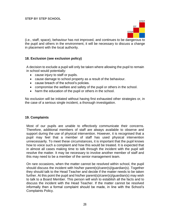

(i.e., staff, space), behaviour has not improved, and continues to be dangerous to the pupil and others in the environment, it will be necessary to discuss a change in placement with the local authority.

#### <span id="page-25-0"></span>**18. Exclusion (see exclusion policy)**

A decision to exclude a pupil will only be taken where allowing the pupil to remain in school would potentially:

- cause injury to staff or pupils.
- cause damage to school property as a result of the behaviour.
- cause breach of the school's policies.
- compromise the welfare and safety of the pupil or others in the school.
- harm the education of the pupil or others in the school.

No exclusion will be initiated without having first exhausted other strategies or, in the case of a serious single incident, a thorough investigation.

#### <span id="page-25-1"></span>**19. Complaints**

Most of our pupils are unable to effectively communicate their concerns. Therefore, additional members of staff are always available to observe and support during the use of physical intervention. However, it is recognised that a pupil may feel that a member of staff has used physical intervention unnecessarily. To meet these circumstances, it is important that the pupil knows how to voice such a complaint and how this would be treated. It is expected that in almost all cases making time to talk through the incident with the pupil will resolve the matter. It may be necessary to involve another member of staff and this may need to be a member of the senior management team.

On rare occasions, when the matter cannot be resolved within school, the pupil should discuss the incident with his/her parent(s)/carer(s)/guardian(s). Together they should talk to the Head Teacher and decide if the matter needs to be taken further. At this point the pupil and his/her parent(s)/carer(s)/guardian(s) may wish to talk to a Board Member. This person will wish to establish all the facts and to discuss the incident with the Head Teacher. If the matter cannot be resolved informally then a formal complaint should be made, in line with the School's Complaints Policy.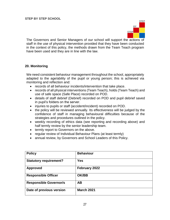

The Governors and Senior Managers of our school will support the actions of staff in the use of physical intervention provided that they have been conducted in the context of this policy, the methods drawn from the Team Teach program have been used and they are in line with the law.

#### <span id="page-26-0"></span>**20. Monitoring**

We need consistent behaviour management throughout the school, appropriately adapted to the age/ability of the pupil or young person; this is achieved via monitoring and reflection and:

- records of all behaviour incidents/intervention that take place.
- records of all physical interventions (Team Teach), holds (Team Teach) and use of safe space (Safe Place) recorded on POD.
- details of staff debrief (Debrief) recorded on POD and pupil debrief saved in pupil's folders on the server.
- injuries to pupils or staff (accident/incident) recorded on POD.
- the policy will be reviewed annually. Its effectiveness will be judged by the confidence of staff in managing behavioural difficulties because of the strategies and procedures outlined in the policy.
- weekly recording of ethics data (see reporting and recording above) and half termly review by the senior leadership team.
- termly report to Governors on the above.
- regular review of Individual Behaviour Plans (at least termly)
- annual review, by Governors and School Leaders of this Policy.

| <b>Policy</b>                 | <b>Behaviour</b>  |
|-------------------------------|-------------------|
| <b>Statutory requirement?</b> | <b>Yes</b>        |
| <b>Approved</b>               | February 2022     |
| <b>Responsible Officer</b>    | <b>OK/BB</b>      |
| <b>Responsible Governor/s</b> | <b>AB</b>         |
| Date of previous version      | <b>March 2021</b> |